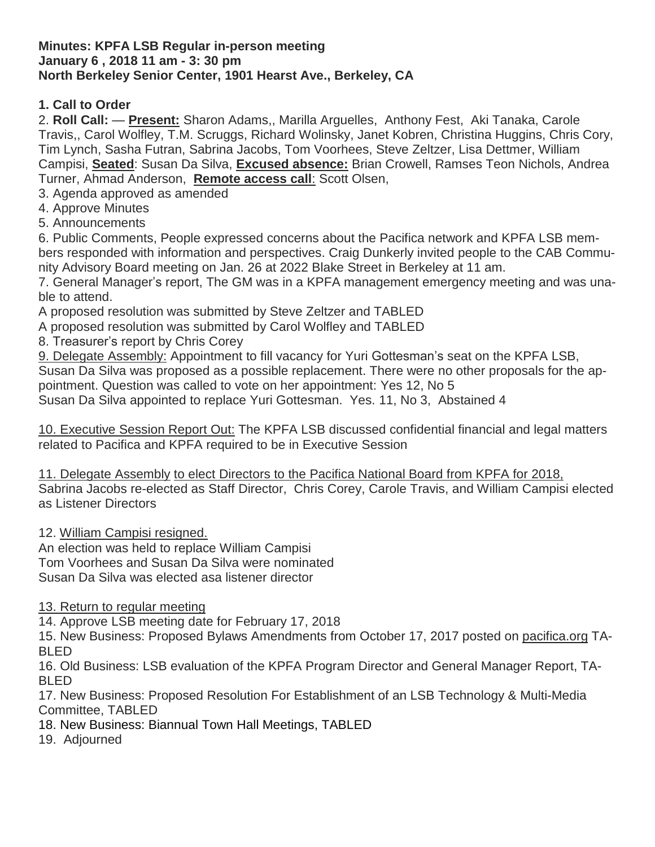#### **Minutes: KPFA LSB Regular in-person meeting January 6 , 2018 11 am - 3: 30 pm North Berkeley Senior Center, 1901 Hearst Ave., Berkeley, CA**

## **1. Call to Order**

2. **Roll Call:** — **Present:** Sharon Adams,, Marilla Arguelles, Anthony Fest, Aki Tanaka, Carole Travis,, Carol Wolfley, T.M. Scruggs, Richard Wolinsky, Janet Kobren, Christina Huggins, Chris Cory, Tim Lynch, Sasha Futran, Sabrina Jacobs, Tom Voorhees, Steve Zeltzer, Lisa Dettmer, William Campisi, **Seated**: Susan Da Silva, **Excused absence:** Brian Crowell, Ramses Teon Nichols, Andrea Turner, Ahmad Anderson, **Remote access call**: Scott Olsen,

3. Agenda approved as amended

- 4. Approve Minutes
- 5. Announcements

6. Public Comments, People expressed concerns about the Pacifica network and KPFA LSB members responded with information and perspectives. Craig Dunkerly invited people to the CAB Community Advisory Board meeting on Jan. 26 at 2022 Blake Street in Berkeley at 11 am.

7. General Manager's report, The GM was in a KPFA management emergency meeting and was unable to attend.

A proposed resolution was submitted by Steve Zeltzer and TABLED

A proposed resolution was submitted by Carol Wolfley and TABLED

8. Treasurer's report by Chris Corey

9. Delegate Assembly: Appointment to fill vacancy for Yuri Gottesman's seat on the KPFA LSB, Susan Da Silva was proposed as a possible replacement. There were no other proposals for the appointment. Question was called to vote on her appointment: Yes 12, No 5

Susan Da Silva appointed to replace Yuri Gottesman. Yes. 11, No 3, Abstained 4

10. Executive Session Report Out: The KPFA LSB discussed confidential financial and legal matters related to Pacifica and KPFA required to be in Executive Session

11. Delegate Assembly to elect Directors to the Pacifica National Board from KPFA for 2018, Sabrina Jacobs re-elected as Staff Director, Chris Corey, Carole Travis, and William Campisi elected as Listener Directors

12. William Campisi resigned.

An election was held to replace William Campisi Tom Voorhees and Susan Da Silva were nominated Susan Da Silva was elected asa listener director

13. Return to regular meeting

14. Approve LSB meeting date for February 17, 2018

15. New Business: Proposed Bylaws Amendments from October 17, 2017 posted on [pacifica.org](http://pacifica.org/) TA-BLED

16. Old Business: LSB evaluation of the KPFA Program Director and General Manager Report, TA-BLED

17. New Business: Proposed Resolution For Establishment of an LSB Technology & Multi-Media Committee, TABLED

18. New Business: Biannual Town Hall Meetings, TABLED

19. Adjourned